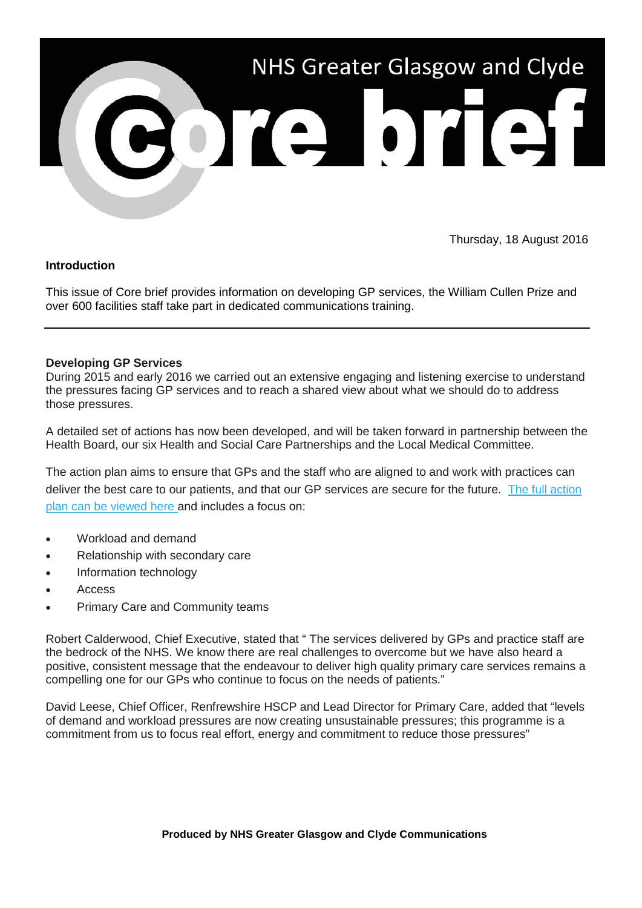

Thursday, 18 August 2016

## **Introduction**

This issue of Core brief provides information on developing GP services, the William Cullen Prize and over 600 facilities staff take part in dedicated communications training.

## **Developing GP Services**

During 2015 and early 2016 we carried out an extensive engaging and listening exercise to understand the pressures facing GP services and to reach a shared view about what we should do to address those pressures.

A detailed set of actions has now been developed, and will be taken forward in partnership between the Health Board, our six Health and Social Care Partnerships and the Local Medical Committee.

The action plan aims to ensure that GPs and the staff who are aligned to and work with practices can deliver the best care to our patients, and that our GP services are secure for the future. [The full action](http://nhsggc.us12.list-manage.com/track/click?u=0f385b5aea37eaf0213bd19fb&id=74b8003fb7&e=5af5e1832c)  [plan can be viewed here a](http://nhsggc.us12.list-manage.com/track/click?u=0f385b5aea37eaf0213bd19fb&id=74b8003fb7&e=5af5e1832c)nd includes a focus on:

- Workload and demand
- Relationship with secondary care
- Information technology
- Access
- Primary Care and Community teams

Robert Calderwood, Chief Executive, stated that " The services delivered by GPs and practice staff are the bedrock of the NHS. We know there are real challenges to overcome but we have also heard a positive, consistent message that the endeavour to deliver high quality primary care services remains a compelling one for our GPs who continue to focus on the needs of patients."

David Leese, Chief Officer, Renfrewshire HSCP and Lead Director for Primary Care, added that "levels of demand and workload pressures are now creating unsustainable pressures; this programme is a commitment from us to focus real effort, energy and commitment to reduce those pressures"